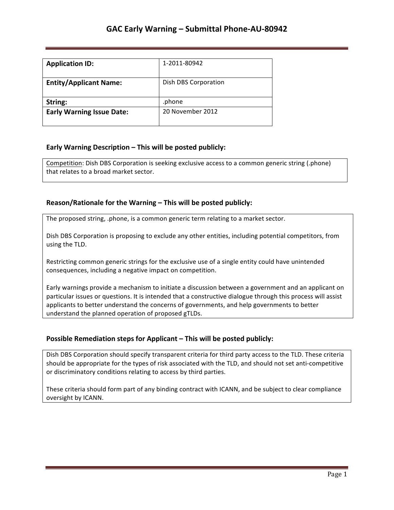| <b>Application ID:</b>           | 1-2011-80942         |
|----------------------------------|----------------------|
| <b>Entity/Applicant Name:</b>    | Dish DBS Corporation |
| String:                          | .phone               |
| <b>Early Warning Issue Date:</b> | 20 November 2012     |

### **Early Warning Description – This will be posted publicly:**

Competition: Dish DBS Corporation is seeking exclusive access to a common generic string (.phone) that relates to a broad market sector.

### **Reason/Rationale for the Warning – This will be posted publicly:**

The proposed string, .phone, is a common generic term relating to a market sector.

Dish DBS Corporation is proposing to exclude any other entities, including potential competitors, from using the TLD.

Restricting common generic strings for the exclusive use of a single entity could have unintended consequences, including a negative impact on competition.

Early warnings provide a mechanism to initiate a discussion between a government and an applicant on particular issues or questions. It is intended that a constructive dialogue through this process will assist applicants to better understand the concerns of governments, and help governments to better understand the planned operation of proposed gTLDs.

### **Possible Remediation steps for Applicant – This will be posted publicly:**

Dish DBS Corporation should specify transparent criteria for third party access to the TLD. These criteria should be appropriate for the types of risk associated with the TLD, and should not set anti-competitive or discriminatory conditions relating to access by third parties.

These criteria should form part of any binding contract with ICANN, and be subject to clear compliance oversight by ICANN.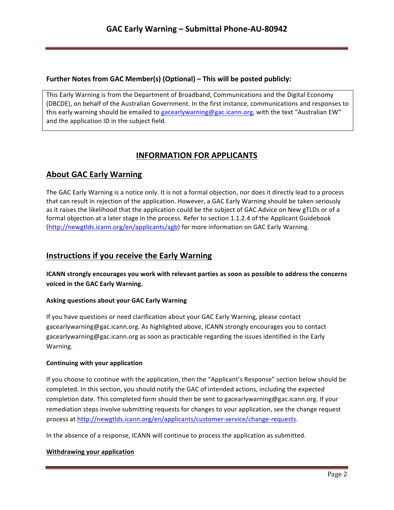### **Further Notes from GAC Member(s) (Optional) – This will be posted publicly:**

This Early Warning is from the Department of Broadband, Communications and the Digital Economy (DBCDE), on behalf of the Australian Government. In the first instance, communications and responses to this early warning should be emailed to gacearlywarning@gac.icann.org, with the text "Australian EW" and the application ID in the subject field.

# **INFORMATION FOR APPLICANTS**

# **About GAC Early Warning**

The GAC Early Warning is a notice only. It is not a formal objection, nor does it directly lead to a process that can result in rejection of the application. However, a GAC Early Warning should be taken seriously as it raises the likelihood that the application could be the subject of GAC Advice on New gTLDs or of a formal objection at a later stage in the process. Refer to section 1.1.2.4 of the Applicant Guidebook (http://newgtlds.icann.org/en/applicants/agb) for more information on GAC Early Warning.

## **Instructions if you receive the Early Warning**

**ICANN** strongly encourages you work with relevant parties as soon as possible to address the concerns voiced in the GAC Early Warning.

### **Asking questions about your GAC Early Warning**

If you have questions or need clarification about your GAC Early Warning, please contact gacearlywarning@gac.icann.org. As highlighted above, ICANN strongly encourages you to contact gacearlywarning@gac.icann.org as soon as practicable regarding the issues identified in the Early Warning. 

### **Continuing with your application**

If you choose to continue with the application, then the "Applicant's Response" section below should be completed. In this section, you should notify the GAC of intended actions, including the expected completion date. This completed form should then be sent to gacearlywarning@gac.icann.org. If your remediation steps involve submitting requests for changes to your application, see the change request process at http://newgtlds.icann.org/en/applicants/customer-service/change-requests.

In the absence of a response, ICANN will continue to process the application as submitted.

### **Withdrawing your application**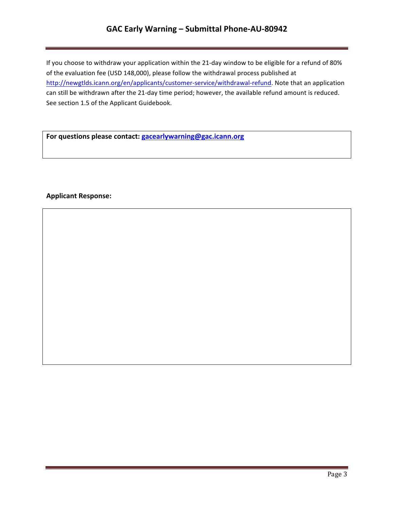## **GAC Early Warning – Submittal Phone-AU-80942**

If you choose to withdraw your application within the 21-day window to be eligible for a refund of 80% of the evaluation fee (USD 148,000), please follow the withdrawal process published at http://newgtlds.icann.org/en/applicants/customer-service/withdrawal-refund. Note that an application can still be withdrawn after the 21-day time period; however, the available refund amount is reduced. See section 1.5 of the Applicant Guidebook.

For questions please contact: **gacearlywarning@gac.icann.org** 

### **Applicant Response:**